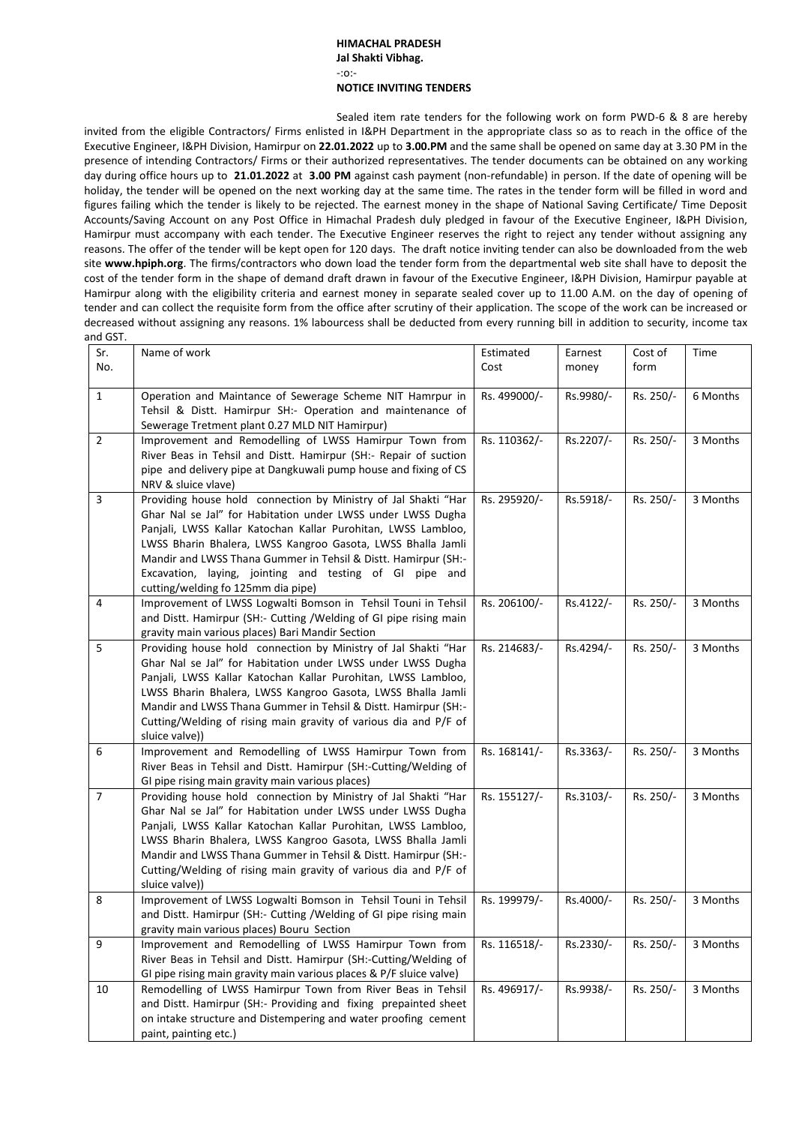## **HIMACHAL PRADESH Jal Shakti Vibhag.** -:o:- **NOTICE INVITING TENDERS**

Sealed item rate tenders for the following work on form PWD-6 & 8 are hereby invited from the eligible Contractors/ Firms enlisted in I&PH Department in the appropriate class so as to reach in the office of the Executive Engineer, I&PH Division, Hamirpur on **22.01.2022** up to **3.00.PM** and the same shall be opened on same day at 3.30 PM in the presence of intending Contractors/ Firms or their authorized representatives. The tender documents can be obtained on any working day during office hours up to **21.01.2022** at **3.00 PM** against cash payment (non-refundable) in person. If the date of opening will be holiday, the tender will be opened on the next working day at the same time. The rates in the tender form will be filled in word and figures failing which the tender is likely to be rejected. The earnest money in the shape of National Saving Certificate/ Time Deposit Accounts/Saving Account on any Post Office in Himachal Pradesh duly pledged in favour of the Executive Engineer, I&PH Division, Hamirpur must accompany with each tender. The Executive Engineer reserves the right to reject any tender without assigning any reasons. The offer of the tender will be kept open for 120 days. The draft notice inviting tender can also be downloaded from the web site **[www.hpiph.org](http://www.hpiph.org/)**. The firms/contractors who down load the tender form from the departmental web site shall have to deposit the cost of the tender form in the shape of demand draft drawn in favour of the Executive Engineer, I&PH Division, Hamirpur payable at Hamirpur along with the eligibility criteria and earnest money in separate sealed cover up to 11.00 A.M. on the day of opening of tender and can collect the requisite form from the office after scrutiny of their application. The scope of the work can be increased or decreased without assigning any reasons. 1% labourcess shall be deducted from every running bill in addition to security, income tax and GST.

| .<br>Sr.       | Name of work                                                                                                                 | Estimated    | Earnest   | Cost of   | Time     |
|----------------|------------------------------------------------------------------------------------------------------------------------------|--------------|-----------|-----------|----------|
| No.            |                                                                                                                              | Cost         | money     | form      |          |
|                |                                                                                                                              |              |           |           |          |
| $\mathbf{1}$   | Operation and Maintance of Sewerage Scheme NIT Hamrpur in                                                                    | Rs. 499000/- | Rs.9980/- | Rs. 250/- | 6 Months |
|                | Tehsil & Distt. Hamirpur SH:- Operation and maintenance of                                                                   |              |           |           |          |
|                | Sewerage Tretment plant 0.27 MLD NIT Hamirpur)                                                                               |              |           |           |          |
| $\overline{2}$ | Improvement and Remodelling of LWSS Hamirpur Town from<br>River Beas in Tehsil and Distt. Hamirpur (SH:- Repair of suction   | Rs. 110362/- | Rs.2207/- | Rs. 250/- | 3 Months |
|                | pipe and delivery pipe at Dangkuwali pump house and fixing of CS                                                             |              |           |           |          |
|                | NRV & sluice vlave)                                                                                                          |              |           |           |          |
| 3              | Providing house hold connection by Ministry of Jal Shakti "Har                                                               | Rs. 295920/- | Rs.5918/- | Rs. 250/- | 3 Months |
|                | Ghar Nal se Jal" for Habitation under LWSS under LWSS Dugha                                                                  |              |           |           |          |
|                | Panjali, LWSS Kallar Katochan Kallar Purohitan, LWSS Lambloo,                                                                |              |           |           |          |
|                | LWSS Bharin Bhalera, LWSS Kangroo Gasota, LWSS Bhalla Jamli                                                                  |              |           |           |          |
|                | Mandir and LWSS Thana Gummer in Tehsil & Distt. Hamirpur (SH:-                                                               |              |           |           |          |
|                | Excavation, laying, jointing and testing of GI pipe and                                                                      |              |           |           |          |
|                | cutting/welding fo 125mm dia pipe)                                                                                           |              |           |           |          |
| 4              | Improvement of LWSS Logwalti Bomson in Tehsil Touni in Tehsil                                                                | Rs. 206100/- | Rs.4122/- | Rs. 250/- | 3 Months |
|                | and Distt. Hamirpur (SH:- Cutting /Welding of GI pipe rising main                                                            |              |           |           |          |
|                | gravity main various places) Bari Mandir Section                                                                             |              |           |           |          |
| 5              | Providing house hold connection by Ministry of Jal Shakti "Har                                                               | Rs. 214683/- | Rs.4294/- | Rs. 250/- | 3 Months |
|                | Ghar Nal se Jal" for Habitation under LWSS under LWSS Dugha<br>Panjali, LWSS Kallar Katochan Kallar Purohitan, LWSS Lambloo, |              |           |           |          |
|                | LWSS Bharin Bhalera, LWSS Kangroo Gasota, LWSS Bhalla Jamli                                                                  |              |           |           |          |
|                | Mandir and LWSS Thana Gummer in Tehsil & Distt. Hamirpur (SH:-                                                               |              |           |           |          |
|                | Cutting/Welding of rising main gravity of various dia and P/F of                                                             |              |           |           |          |
|                | sluice valve))                                                                                                               |              |           |           |          |
| 6              | Improvement and Remodelling of LWSS Hamirpur Town from                                                                       | Rs. 168141/- | Rs.3363/- | Rs. 250/- | 3 Months |
|                | River Beas in Tehsil and Distt. Hamirpur (SH:-Cutting/Welding of                                                             |              |           |           |          |
|                | GI pipe rising main gravity main various places)                                                                             |              |           |           |          |
| $\overline{7}$ | Providing house hold connection by Ministry of Jal Shakti "Har                                                               | Rs. 155127/- | Rs.3103/- | Rs. 250/- | 3 Months |
|                | Ghar Nal se Jal" for Habitation under LWSS under LWSS Dugha                                                                  |              |           |           |          |
|                | Panjali, LWSS Kallar Katochan Kallar Purohitan, LWSS Lambloo,                                                                |              |           |           |          |
|                | LWSS Bharin Bhalera, LWSS Kangroo Gasota, LWSS Bhalla Jamli                                                                  |              |           |           |          |
|                | Mandir and LWSS Thana Gummer in Tehsil & Distt. Hamirpur (SH:-                                                               |              |           |           |          |
|                | Cutting/Welding of rising main gravity of various dia and P/F of<br>sluice valve))                                           |              |           |           |          |
| 8              | Improvement of LWSS Logwalti Bomson in Tehsil Touni in Tehsil                                                                | Rs. 199979/- | Rs.4000/- | Rs. 250/- | 3 Months |
|                | and Distt. Hamirpur (SH:- Cutting /Welding of GI pipe rising main                                                            |              |           |           |          |
|                | gravity main various places) Bouru Section                                                                                   |              |           |           |          |
| 9              | Improvement and Remodelling of LWSS Hamirpur Town from                                                                       | Rs. 116518/- | Rs.2330/- | Rs. 250/- | 3 Months |
|                | River Beas in Tehsil and Distt. Hamirpur (SH:-Cutting/Welding of                                                             |              |           |           |          |
|                | GI pipe rising main gravity main various places & P/F sluice valve)                                                          |              |           |           |          |
| 10             | Remodelling of LWSS Hamirpur Town from River Beas in Tehsil                                                                  | Rs. 496917/- | Rs.9938/- | Rs. 250/- | 3 Months |
|                | and Distt. Hamirpur (SH:- Providing and fixing prepainted sheet                                                              |              |           |           |          |
|                | on intake structure and Distempering and water proofing cement                                                               |              |           |           |          |
|                | paint, painting etc.)                                                                                                        |              |           |           |          |